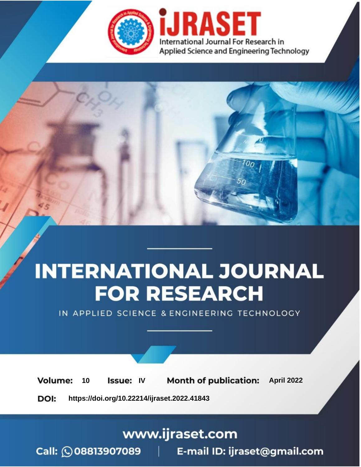

# **INTERNATIONAL JOURNAL FOR RESEARCH**

IN APPLIED SCIENCE & ENGINEERING TECHNOLOGY

10 **Issue: IV Month of publication:** April 2022 **Volume:** 

**https://doi.org/10.22214/ijraset.2022.41843**DOI:

www.ijraset.com

Call: 008813907089 | E-mail ID: ijraset@gmail.com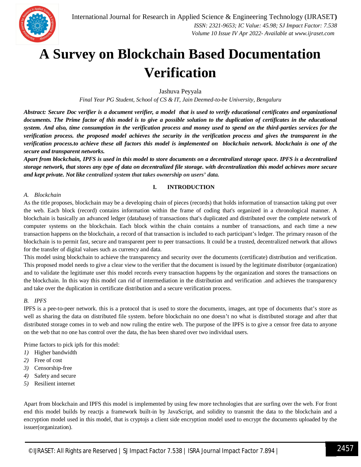

### **A Survey on Blockchain Based Documentation Verification**

Jashuva Peyyala

*Final Year PG Student, School of CS & IT, Jain Deemed-to-be University, Bengaluru*

*Abstract: Secure Doc verifier is a document verifier, a model that is used to verify educational certificates and organizational documents. The Prime factor of this model is to give a possible solution to the duplication of certificates in the educational system. And also, time consumption in the verification process and money used to spend on the third-parties services for the verification process. the proposed model achieves the security in the verification process and gives the transparent in the verification process.to achieve these all factors this model is implemented on blockchain network. blockchain is one of the secure and transparent networks.*

*Apart from blockchain, IPFS is used in this model to store documents on a decentralized storage space. IPFS is a decentralized storage network, that stores any type of data on decentralized file storage. with decentralization this model achieves more secure and kept private. Not like centralized system that takes ownership on users' data.*

#### **I. INTRODUCTION**

#### *A. Blockchain*

As the title proposes, blockchain may be a developing chain of pieces (records) that holds information of transaction taking put over the web. Each block (record) contains information within the frame of coding that's organized in a chronological manner. A blockchain is basically an advanced ledger (database) of transactions that's duplicated and distributed over the complete network of computer systems on the blockchain. Each block within the chain contains a number of transactions, and each time a new transaction happens on the blockchain, a record of that transaction is included to each participant's ledger. The primary reason of the blockchain is to permit fast, secure and transparent peer to peer transactions. It could be a trusted, decentralized network that allows for the transfer of digital values such as currency and data.

This model using blockchain to achieve the transparency and security over the documents (certificate) distribution and verification. This proposed model needs to give a clear view to the verifier that the document is issued by the legitimate distributor (organization) and to validate the legitimate user this model records every transaction happens by the organization and stores the transactions on the blockchain. In this way this model can rid of intermediation in the distribution and verification .and achieves the transparency and take over the duplication in certificate distribution and a secure verification process.

#### *B. IPFS*

IPFS is a pee-to-peer network. this is a protocol that is used to store the documents, images, ant type of documents that's store as well as sharing the data on distributed file system. before blockchain no one doesn't no what is distributed storage and after that distributed storage comes in to web and now ruling the entire web. The purpose of the IPFS is to give a censor free data to anyone on the web that no one has control over the data, the has been shared over two individual users.

Prime factors to pick ipfs for this model:

- *1)* Higher bandwidth
- *2)* Free of cost
- *3)* Censorship-free
- *4)* Safety and secure
- *5)* Resilient internet

Apart from blockchain and IPFS this model is implemented by using few more technologies that are surfing over the web. For front end this model builds by reactjs a framework built-in by JavaScript, and solidity to transmit the data to the blockchain and a encryption model used in this model, that is cryptojs a client side encryption model used to encrypt the documents uploaded by the issuer(organization).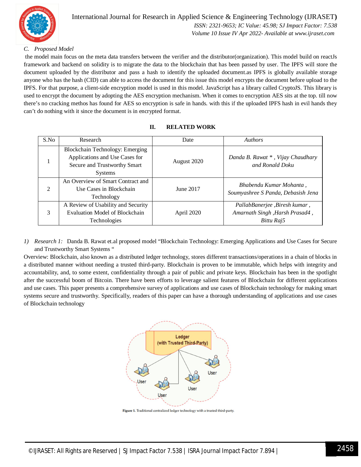

#### International Journal for Research in Applied Science & Engineering Technology (IJRASET**)**  *ISSN: 2321-9653; IC Value: 45.98; SJ Impact Factor: 7.538 Volume 10 Issue IV Apr 2022- Available at www.ijraset.com*

*C. Proposed Model*

the model main focus on the meta data transfers between the verifier and the distributor(organization). This model build on reactJs framework and backend on solidity is to migrate the data to the blockchain that has been passed by user. The IPFS will store the document uploaded by the distributor and pass a hash to identify the uploaded document.as IPFS is globally available storage anyone who has the hash (CID) can able to access the document for this issue this model encrypts the document before upload to the IPFS. For that purpose, a client-side encryption model is used in this model. JavaScript has a library called CryptoJS. This library is used to encrypt the document by adopting the AES encryption mechanism. When it comes to encryption AES sits at the top. till now there's no cracking methos has found for AES so encryption is safe in hands. with this if the uploaded IPFS hash in evil hands they can't do nothing with it since the document is in encrypted format.

| S.No           | Research                                                                                                            | Date        | <b>Authors</b>                                                                |
|----------------|---------------------------------------------------------------------------------------------------------------------|-------------|-------------------------------------------------------------------------------|
|                | Blockchain Technology: Emerging<br>Applications and Use Cases for<br>Secure and Trustworthy Smart<br><b>Systems</b> | August 2020 | Danda B. Rawat *, Vijay Chaudhary<br>and Ronald Doku                          |
| $\overline{2}$ | An Overview of Smart Contract and<br>Use Cases in Blockchain<br>Technology                                          | June 2017   | Bhabendu Kumar Mohanta,<br>Soumyashree S Panda, Debasish Jena                 |
| 3              | A Review of Usability and Security<br><b>Evaluation Model of Blockchain</b><br><b>Technologies</b>                  | April 2020  | PallabBanerjee, Biresh kumar,<br>Amarnath Singh, Harsh Prasad4,<br>Bittu Raj5 |

#### **II. RELATED WORK**

*1) Research 1:* Danda B. Rawat et.al proposed model "Blockchain Technology: Emerging Applications and Use Cases for Secure and Trustworthy Smart Systems "

Overview: Blockchain, also known as a distributed ledger technology, stores different transactions/operations in a chain of blocks in a distributed manner without needing a trusted third-party. Blockchain is proven to be immutable, which helps with integrity and accountability, and, to some extent, confidentiality through a pair of public and private keys. Blockchain has been in the spotlight after the successful boom of Bitcoin. There have been efforts to leverage salient features of Blockchain for different applications and use cases. This paper presents a comprehensive survey of applications and use cases of Blockchain technology for making smart systems secure and trustworthy. Specifically, readers of this paper can have a thorough understanding of applications and use cases of Blockchain technology



Figure 1. Traditional centralized ledger technology with a trusted third-party.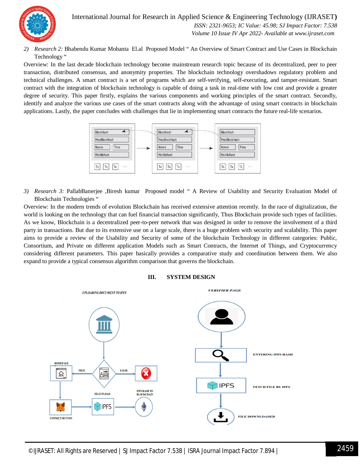International Journal for Research in Applied Science & Engineering Technology (IJRASET**)**  *ISSN: 2321-9653; IC Value: 45.98; SJ Impact Factor: 7.538*



 *Volume 10 Issue IV Apr 2022- Available at www.ijraset.com*

*2) Research 2:* Bhabendu Kumar Mohanta El.al Proposed Model " An Overview of Smart Contract and Use Cases in Blockchain Technology "

Overview: In the last decade blockchain technology become mainstream research topic because of its decentralized, peer to peer transaction, distributed consensus, and anonymity properties. The blockchain technology overshadows regulatory problem and technical challenges. A smart contract is a set of programs which are self-verifying, self-executing, and tamper-resistant. Smart contract with the integration of blockchain technology is capable of doing a task in real-time with low cost and provide a greater degree of security. This paper firstly, explains the various components and working principles of the smart contract. Secondly, identify and analyze the various use cases of the smart contracts along with the advantage of using smart contracts in blockchain applications. Lastly, the paper concludes with challenges that lie in implementing smart contracts the future real-life scenarios.



*3) Research 3:* PallabBanerjee ,Biresh kumar Proposed model " A Review of Usability and Security Evaluation Model of Blockchain Technologies "

Overview: In the modern trends of evolution Blockchain has received extensive attention recently. In the race of digitalization, the world is looking on the technology that can fuel financial transaction significantly, Thus Blockchain provide such types of facilities. As we know, Blockchain is a decentralized peer-to-peer network that was designed in order to remove the involvement of a third party in transactions. But due to its extensive use on a large scale, there is a huge problem with security and scalability. This paper aims to provide a review of the Usability and Security of some of the blockchain Technology in different categories: Public, Consortium, and Private on different application Models such as Smart Contracts, the Internet of Things, and Cryptocurrency considering different parameters. This paper basically provides a comparative study and coordination between them. We also expand to provide a typical consensus algorithm comparison that governs the blockchain.



#### **III. SYSTEM DESIGN**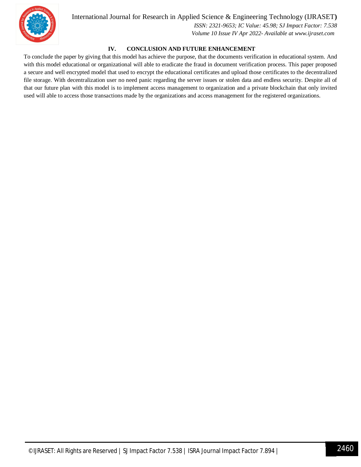

#### International Journal for Research in Applied Science & Engineering Technology (IJRASET**)**

 *ISSN: 2321-9653; IC Value: 45.98; SJ Impact Factor: 7.538 Volume 10 Issue IV Apr 2022- Available at www.ijraset.com*

#### **IV. CONCLUSION AND FUTURE ENHANCEMENT**

To conclude the paper by giving that this model has achieve the purpose, that the documents verification in educational system. And with this model educational or organizational will able to eradicate the fraud in document verification process. This paper proposed a secure and well encrypted model that used to encrypt the educational certificates and upload those certificates to the decentralized file storage. With decentralization user no need panic regarding the server issues or stolen data and endless security. Despite all of that our future plan with this model is to implement access management to organization and a private blockchain that only invited used will able to access those transactions made by the organizations and access management for the registered organizations.